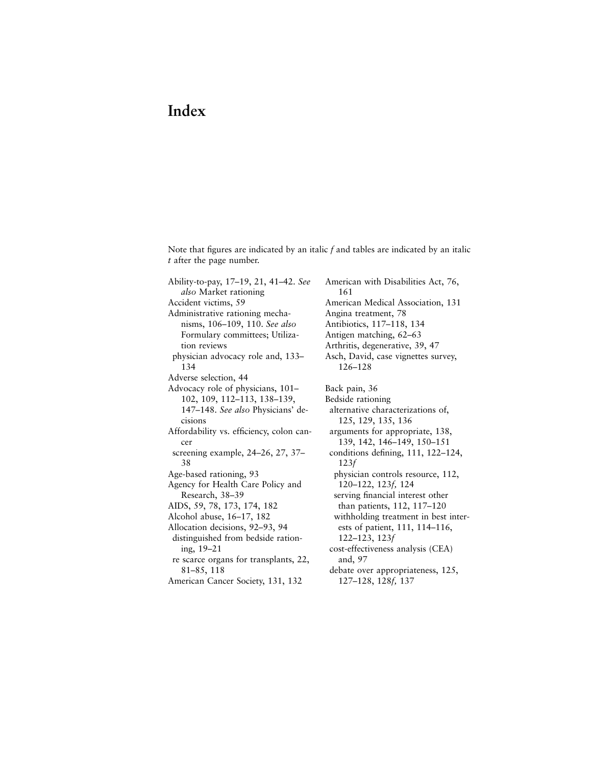## **Index**

Note that figures are indicated by an italic  $f$  and tables are indicated by an italic *t* after the page number.

Ability-to-pay, 17–19, 21, 41–42. *See also* Market rationing Accident victims, 59 Administrative rationing mechanisms, 106–109, 110. *See also* Formulary committees; Utilization reviews physician advocacy role and, 133– 134 Adverse selection, 44 Advocacy role of physicians, 101– 102, 109, 112–113, 138–139, 147–148. *See also* Physicians' decisions Affordability vs. efficiency, colon cancer screening example, 24–26, 27, 37– 38 Age-based rationing, 93 Agency for Health Care Policy and Research, 38–39 AIDS, 59, 78, 173, 174, 182 Alcohol abuse, 16–17, 182 Allocation decisions, 92–93, 94 distinguished from bedside rationing, 19–21 re scarce organs for transplants, 22, 81–85, 118 American Cancer Society, 131, 132

American with Disabilities Act, 76, 161 American Medical Association, 131 Angina treatment, 78 Antibiotics, 117–118, 134 Antigen matching, 62–63 Arthritis, degenerative, 39, 47 Asch, David, case vignettes survey, 126–128 Back pain, 36 Bedside rationing alternative characterizations of, 125, 129, 135, 136 arguments for appropriate, 138, 139, 142, 146–149, 150–151 conditions defining, 111, 122-124, 123*f* physician controls resource, 112, 120–122, 123*f,* 124 serving financial interest other than patients, 112, 117–120 withholding treatment in best interests of patient, 111, 114–116, 122–123, 123*f* cost-effectiveness analysis (CEA) and, 97 debate over appropriateness, 125, 127–128, 128*f,* 137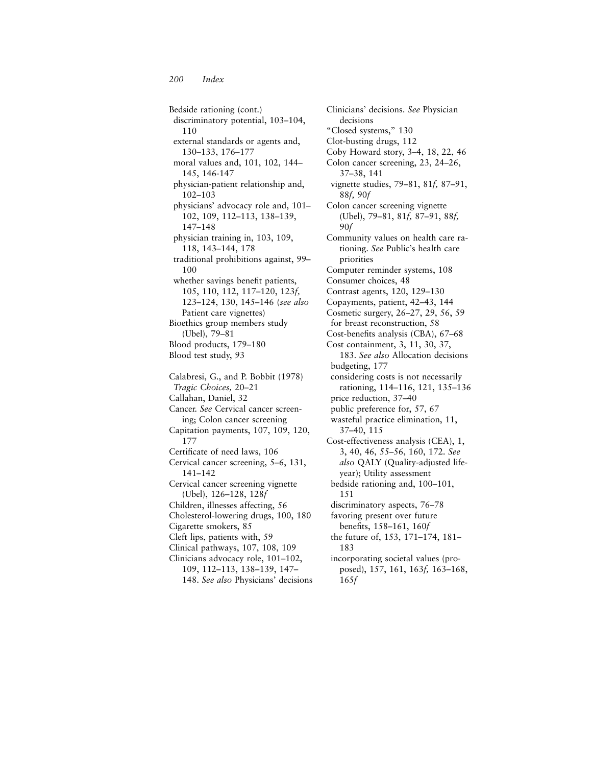Bedside rationing (cont.) discriminatory potential, 103–104, 110 external standards or agents and, 130–133, 176–177 moral values and, 101, 102, 144– 145, 146-147 physician-patient relationship and, 102–103 physicians' advocacy role and, 101– 102, 109, 112–113, 138–139, 147–148 physician training in, 103, 109, 118, 143–144, 178 traditional prohibitions against, 99– 100 whether savings benefit patients, 105, 110, 112, 117–120, 123*f,* 123–124, 130, 145–146 (*see also* Patient care vignettes) Bioethics group members study (Ubel), 79–81 Blood products, 179–180 Blood test study, 93 Calabresi, G., and P. Bobbit (1978) *Tragic Choices,* 20–21 Callahan, Daniel, 32 Cancer. *See* Cervical cancer screening; Colon cancer screening Capitation payments, 107, 109, 120, 177 Certificate of need laws, 106 Cervical cancer screening, 5–6, 131, 141–142 Cervical cancer screening vignette (Ubel), 126–128, 128*f* Children, illnesses affecting, 56 Cholesterol-lowering drugs, 100, 180 Cigarette smokers, 85 Cleft lips, patients with, 59 Clinical pathways, 107, 108, 109 Clinicians advocacy role, 101–102, 109, 112–113, 138–139, 147– 148. *See also* Physicians' decisions

decisions "Closed systems," 130 Clot-busting drugs, 112 Coby Howard story, 3–4, 18, 22, 46 Colon cancer screening, 23, 24–26, 37–38, 141 vignette studies, 79–81, 81*f,* 87–91, 88*f,* 90*f* Colon cancer screening vignette (Ubel), 79–81, 81*f,* 87–91, 88*f,* 90*f* Community values on health care rationing. *See* Public's health care priorities Computer reminder systems, 108 Consumer choices, 48 Contrast agents, 120, 129–130 Copayments, patient, 42–43, 144 Cosmetic surgery, 26–27, 29, 56, 59 for breast reconstruction, 58 Cost-benefits analysis (CBA), 67-68 Cost containment, 3, 11, 30, 37, 183. *See also* Allocation decisions budgeting, 177 considering costs is not necessarily rationing, 114–116, 121, 135–136 price reduction, 37–40 public preference for, 57, 67 wasteful practice elimination, 11, 37–40, 115 Cost-effectiveness analysis (CEA), 1, 3, 40, 46, 55–56, 160, 172. *See also* QALY (Quality-adjusted lifeyear); Utility assessment bedside rationing and, 100–101, 151 discriminatory aspects, 76–78 favoring present over future benefits, 158-161, 160f the future of, 153, 171–174, 181– 183 incorporating societal values (proposed), 157, 161, 163*f,* 163–168, 165*f*

Clinicians' decisions. *See* Physician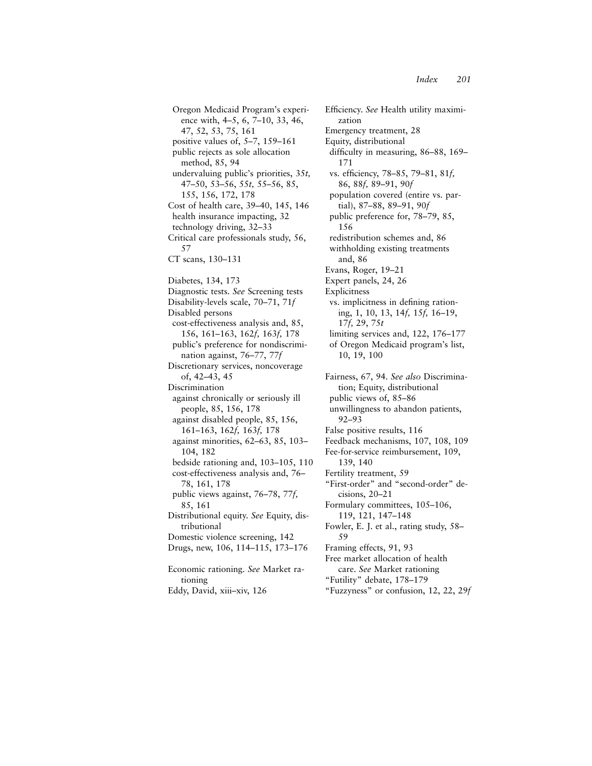Oregon Medicaid Program's experience with, 4–5, 6, 7–10, 33, 46, 47, 52, 53, 75, 161 positive values of, 5–7, 159–161 public rejects as sole allocation method, 85, 94 undervaluing public's priorities, 35*t,* 47–50, 53–56, 55*t,* 55–56, 85, 155, 156, 172, 178 Cost of health care, 39–40, 145, 146 health insurance impacting, 32 technology driving, 32–33 Critical care professionals study, 56, 57 CT scans, 130–131 Diabetes, 134, 173 Diagnostic tests. *See* Screening tests Disability-levels scale, 70–71, 71*f* Disabled persons cost-effectiveness analysis and, 85, 156, 161–163, 162*f,* 163*f,* 178 public's preference for nondiscrimination against, 76–77, 77*f* Discretionary services, noncoverage of, 42–43, 45 Discrimination against chronically or seriously ill people, 85, 156, 178 against disabled people, 85, 156, 161–163, 162*f,* 163*f,* 178 against minorities, 62–63, 85, 103– 104, 182 bedside rationing and, 103–105, 110 cost-effectiveness analysis and, 76– 78, 161, 178 public views against, 76–78, 77*f,* 85, 161 Distributional equity. *See* Equity, distributional Domestic violence screening, 142 Drugs, new, 106, 114–115, 173–176 Economic rationing. *See* Market rationing

Eddy, David, xiii–xiv, 126

Efficiency. See Health utility maximization Emergency treatment, 28 Equity, distributional difficulty in measuring, 86–88, 169– 171 vs. efficiency, 78–85, 79–81, 81f, 86, 88*f,* 89–91, 90*f* population covered (entire vs. partial), 87–88, 89–91, 90*f* public preference for, 78–79, 85, 156 redistribution schemes and, 86 withholding existing treatments and, 86 Evans, Roger, 19–21 Expert panels, 24, 26 Explicitness vs. implicitness in defining rationing, 1, 10, 13, 14*f,* 15*f,* 16–19, 17*f,* 29, 75*t* limiting services and, 122, 176–177 of Oregon Medicaid program's list, 10, 19, 100 Fairness, 67, 94. *See also* Discrimination; Equity, distributional public views of, 85–86 unwillingness to abandon patients, 92–93 False positive results, 116 Feedback mechanisms, 107, 108, 109 Fee-for-service reimbursement, 109, 139, 140 Fertility treatment, 59 "First-order" and "second-order" decisions, 20–21 Formulary committees, 105–106, 119, 121, 147–148 Fowler, E. J. et al., rating study, 58– 59 Framing effects, 91, 93 Free market allocation of health care. *See* Market rationing "Futility" debate, 178–179 "Fuzzyness" or confusion, 12, 22, 29*f*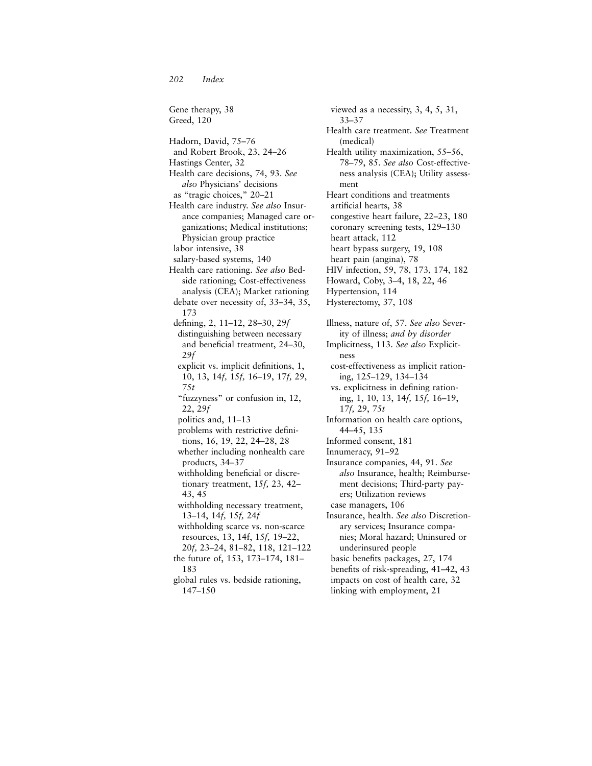*202 Index*

Gene therapy, 38 Greed, 120 Hadorn, David, 75–76 and Robert Brook, 23, 24–26 Hastings Center, 32 Health care decisions, 74, 93. *See also* Physicians' decisions as "tragic choices," 20–21 Health care industry. *See also* Insurance companies; Managed care organizations; Medical institutions; Physician group practice labor intensive, 38 salary-based systems, 140 Health care rationing. *See also* Bedside rationing; Cost-effectiveness analysis (CEA); Market rationing debate over necessity of, 33–34, 35, 173 defining, 2, 11–12, 28–30, 29f distinguishing between necessary and beneficial treatment, 24-30, 29*f* explicit vs. implicit definitions, 1, 10, 13, 14*f,* 15*f,* 16–19, 17*f,* 29, 75*t* "fuzzyness" or confusion in, 12, 22, 29*f* politics and, 11–13 problems with restrictive definitions, 16, 19, 22, 24–28, 28 whether including nonhealth care products, 34–37 withholding beneficial or discretionary treatment, 15*f,* 23, 42– 43, 45 withholding necessary treatment, 13–14, 14*f,* 15*f,* 24*f* withholding scarce vs. non-scarce resources, 13, 14f, 15*f,* 19–22, 20*f,* 23–24, 81–82, 118, 121–122 the future of, 153, 173–174, 181– 183 global rules vs. bedside rationing, 147–150

viewed as a necessity, 3, 4, 5, 31, 33–37 Health care treatment. *See* Treatment (medical) Health utility maximization, 55–56, 78–79, 85. *See also* Cost-effectiveness analysis (CEA); Utility assessment Heart conditions and treatments artificial hearts, 38 congestive heart failure, 22–23, 180 coronary screening tests, 129–130 heart attack, 112 heart bypass surgery, 19, 108 heart pain (angina), 78 HIV infection, 59, 78, 173, 174, 182 Howard, Coby, 3–4, 18, 22, 46 Hypertension, 114 Hysterectomy, 37, 108 Illness, nature of, 57. *See also* Severity of illness; *and by disorder* Implicitness, 113. *See also* Explicitness cost-effectiveness as implicit rationing, 125–129, 134–134 vs. explicitness in defining rationing, 1, 10, 13, 14*f,* 15*f,* 16–19, 17*f,* 29, 75*t* Information on health care options, 44–45, 135 Informed consent, 181 Innumeracy, 91–92 Insurance companies, 44, 91. *See also* Insurance, health; Reimbursement decisions; Third-party payers; Utilization reviews case managers, 106 Insurance, health. *See also* Discretionary services; Insurance companies; Moral hazard; Uninsured or underinsured people basic benefits packages, 27, 174 benefits of risk-spreading, 41–42, 43 impacts on cost of health care, 32

linking with employment, 21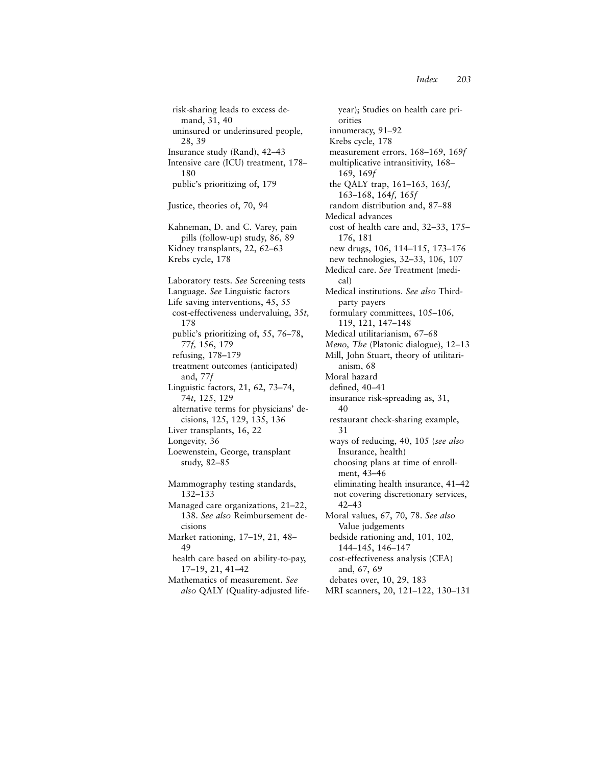risk-sharing leads to excess demand, 31, 40 uninsured or underinsured people, 28, 39 Insurance study (Rand), 42–43 Intensive care (ICU) treatment, 178– 180 public's prioritizing of, 179 Justice, theories of, 70, 94 Kahneman, D. and C. Varey, pain pills (follow-up) study, 86, 89 Kidney transplants, 22, 62–63 Krebs cycle, 178 Laboratory tests. *See* Screening tests Language. *See* Linguistic factors Life saving interventions, 45, 55 cost-effectiveness undervaluing, 35*t,* 178 public's prioritizing of, 55, 76–78, 77*f,* 156, 179 refusing, 178–179 treatment outcomes (anticipated) and, 77*f* Linguistic factors, 21, 62, 73–74, 74*t,* 125, 129 alternative terms for physicians' decisions, 125, 129, 135, 136 Liver transplants, 16, 22 Longevity, 36 Loewenstein, George, transplant study, 82–85 Mammography testing standards, 132–133 Managed care organizations, 21–22, 138. *See also* Reimbursement decisions Market rationing, 17–19, 21, 48– 49 health care based on ability-to-pay, 17–19, 21, 41–42 Mathematics of measurement. *See also* QALY (Quality-adjusted life-

year); Studies on health care priorities innumeracy, 91–92 Krebs cycle, 178 measurement errors, 168–169, 169*f* multiplicative intransitivity, 168– 169, 169*f* the QALY trap, 161–163, 163*f,* 163–168, 164*f,* 165*f* random distribution and, 87–88 Medical advances cost of health care and, 32–33, 175– 176, 181 new drugs, 106, 114–115, 173–176 new technologies, 32–33, 106, 107 Medical care. *See* Treatment (medical) Medical institutions. *See also* Thirdparty payers formulary committees, 105–106, 119, 121, 147–148 Medical utilitarianism, 67–68 *Meno, The* (Platonic dialogue), 12–13 Mill, John Stuart, theory of utilitarianism, 68 Moral hazard defined, 40-41 insurance risk-spreading as, 31, 40 restaurant check-sharing example, 31 ways of reducing, 40, 105 (*see also* Insurance, health) choosing plans at time of enrollment, 43–46 eliminating health insurance, 41–42 not covering discretionary services, 42–43 Moral values, 67, 70, 78. *See also* Value judgements bedside rationing and, 101, 102, 144–145, 146–147 cost-effectiveness analysis (CEA) and, 67, 69 debates over, 10, 29, 183 MRI scanners, 20, 121–122, 130–131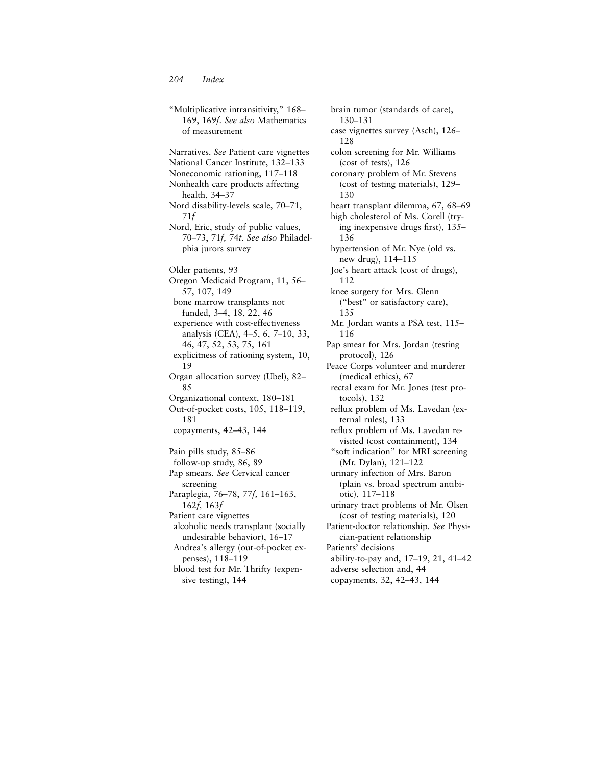"Multiplicative intransitivity," 168– 169, 169*f. See also* Mathematics of measurement Narratives. *See* Patient care vignettes National Cancer Institute, 132–133 Noneconomic rationing, 117–118 Nonhealth care products affecting health, 34–37 Nord disability-levels scale, 70–71, 71*f* Nord, Eric, study of public values, 70–73, 71*f,* 74*t*. *See also* Philadelphia jurors survey Older patients, 93 Oregon Medicaid Program, 11, 56– 57, 107, 149 bone marrow transplants not funded, 3–4, 18, 22, 46 experience with cost-effectiveness analysis (CEA), 4–5, 6, 7–10, 33, 46, 47, 52, 53, 75, 161 explicitness of rationing system, 10, 19 Organ allocation survey (Ubel), 82– 85 Organizational context, 180–181 Out-of-pocket costs, 105, 118–119, 181 copayments, 42–43, 144 Pain pills study, 85–86 follow-up study, 86, 89 Pap smears. *See* Cervical cancer screening Paraplegia, 76–78, 77*f,* 161–163, 162*f,* 163*f* Patient care vignettes alcoholic needs transplant (socially undesirable behavior), 16–17 Andrea's allergy (out-of-pocket expenses), 118–119 blood test for Mr. Thrifty (expensive testing), 144

brain tumor (standards of care), 130–131 case vignettes survey (Asch), 126– 128 colon screening for Mr. Williams (cost of tests), 126 coronary problem of Mr. Stevens (cost of testing materials), 129– 130 heart transplant dilemma, 67, 68–69 high cholesterol of Ms. Corell (trying inexpensive drugs first),  $135-$ 136 hypertension of Mr. Nye (old vs. new drug), 114–115 Joe's heart attack (cost of drugs), 112 knee surgery for Mrs. Glenn ("best" or satisfactory care), 135 Mr. Jordan wants a PSA test, 115– 116 Pap smear for Mrs. Jordan (testing protocol), 126 Peace Corps volunteer and murderer (medical ethics), 67 rectal exam for Mr. Jones (test protocols), 132 reflux problem of Ms. Lavedan (external rules), 133 reflux problem of Ms. Lavedan revisited (cost containment), 134 "soft indication" for MRI screening (Mr. Dylan), 121–122 urinary infection of Mrs. Baron (plain vs. broad spectrum antibiotic), 117–118 urinary tract problems of Mr. Olsen (cost of testing materials), 120 Patient-doctor relationship. *See* Physician-patient relationship Patients' decisions ability-to-pay and, 17–19, 21, 41–42 adverse selection and, 44 copayments, 32, 42–43, 144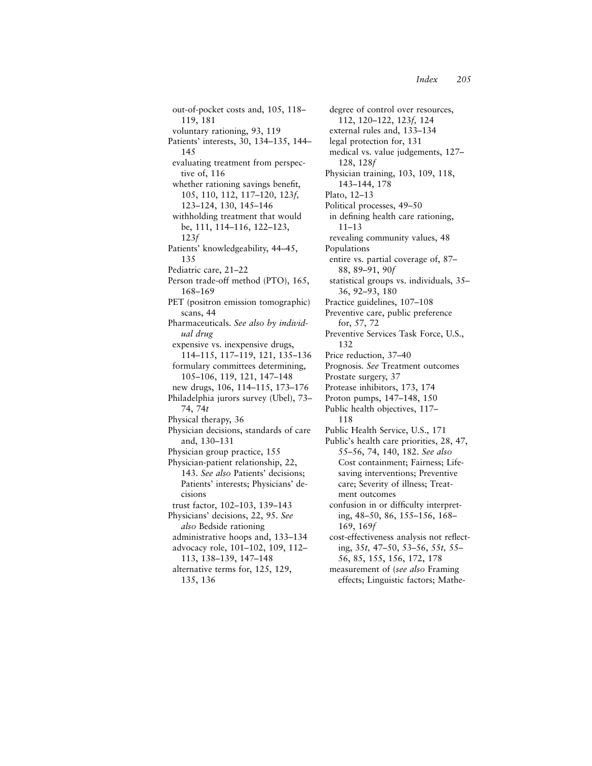out-of-pocket costs and, 105, 118– 119, 181 voluntary rationing, 93, 119 Patients' interests, 30, 134–135, 144– 145 evaluating treatment from perspective of, 116 whether rationing savings benefit, 105, 110, 112, 117–120, 123*f,* 123–124, 130, 145–146 withholding treatment that would be, 111, 114–116, 122–123, 123*f* Patients' knowledgeability, 44–45, 135 Pediatric care, 21–22 Person trade-off method (PTO), 165, 168–169 PET (positron emission tomographic) scans, 44 Pharmaceuticals. *See also by individual drug* expensive vs. inexpensive drugs, 114–115, 117–119, 121, 135–136 formulary committees determining, 105–106, 119, 121, 147–148 new drugs, 106, 114–115, 173–176 Philadelphia jurors survey (Ubel), 73– 74, 74*t* Physical therapy, 36 Physician decisions, standards of care and, 130–131 Physician group practice, 155 Physician-patient relationship, 22, 143. *See also* Patients' decisions; Patients' interests; Physicians' decisions trust factor, 102–103, 139–143 Physicians' decisions, 22, 95. *See also* Bedside rationing administrative hoops and, 133–134 advocacy role, 101–102, 109, 112– 113, 138–139, 147–148 alternative terms for, 125, 129,

degree of control over resources, 112, 120–122, 123*f,* 124 external rules and, 133–134 legal protection for, 131 medical vs. value judgements, 127– 128, 128*f* Physician training, 103, 109, 118, 143–144, 178 Plato, 12–13 Political processes, 49–50 in defining health care rationing, 11–13 revealing community values, 48 Populations entire vs. partial coverage of, 87– 88, 89–91, 90*f* statistical groups vs. individuals, 35– 36, 92–93, 180 Practice guidelines, 107–108 Preventive care, public preference for, 57, 72 Preventive Services Task Force, U.S., 132 Price reduction, 37–40 Prognosis. *See* Treatment outcomes Prostate surgery, 37 Protease inhibitors, 173, 174 Proton pumps, 147–148, 150 Public health objectives, 117– 118 Public Health Service, U.S., 171 Public's health care priorities, 28, 47, 55–56, 74, 140, 182. *See also* Cost containment; Fairness; Lifesaving interventions; Preventive care; Severity of illness; Treatment outcomes confusion in or difficulty interpreting, 48–50, 86, 155–156, 168– 169, 169*f* cost-effectiveness analysis not reflecting, 35*t,* 47–50, 53–56, 55*t,* 55– 56, 85, 155, 156, 172, 178 measurement of (*see also* Framing effects; Linguistic factors; Mathe-

<sup>135, 136</sup>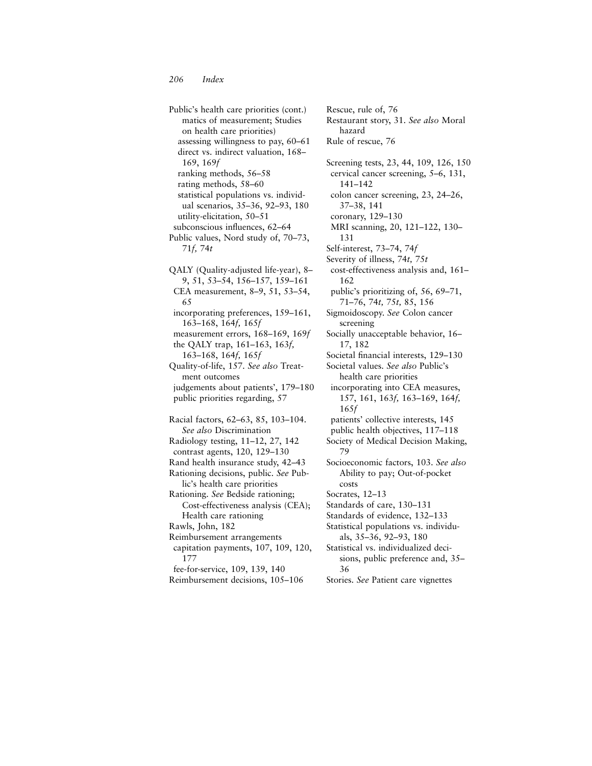Public's health care priorities (cont.) matics of measurement; Studies on health care priorities) assessing willingness to pay, 60–61 direct vs. indirect valuation, 168– 169, 169*f* ranking methods, 56–58 rating methods, 58–60 statistical populations vs. individual scenarios, 35–36, 92–93, 180 utility-elicitation, 50–51 subconscious influences, 62–64 Public values, Nord study of, 70–73, 71*f,* 74*t* QALY (Quality-adjusted life-year), 8– 9, 51, 53–54, 156–157, 159–161 CEA measurement, 8–9, 51, 53–54, 65 incorporating preferences, 159–161, 163–168, 164*f,* 165*f* measurement errors, 168–169, 169*f* the QALY trap, 161–163, 163*f,* 163–168, 164*f,* 165*f* Quality-of-life, 157. *See also* Treatment outcomes judgements about patients', 179–180 public priorities regarding, 57 Racial factors, 62–63, 85, 103–104. *See also* Discrimination Radiology testing, 11–12, 27, 142 contrast agents, 120, 129–130 Rand health insurance study, 42–43 Rationing decisions, public. *See* Public's health care priorities Rationing. *See* Bedside rationing; Cost-effectiveness analysis (CEA); Health care rationing Rawls, John, 182 Reimbursement arrangements capitation payments, 107, 109, 120, 177 fee-for-service, 109, 139, 140 Reimbursement decisions, 105–106

Rescue, rule of, 76 Restaurant story, 31. *See also* Moral hazard Rule of rescue, 76 Screening tests, 23, 44, 109, 126, 150 cervical cancer screening, 5–6, 131, 141–142 colon cancer screening, 23, 24–26, 37–38, 141 coronary, 129–130 MRI scanning, 20, 121–122, 130– 131 Self-interest, 73–74, 74*f* Severity of illness, 74*t,* 75*t* cost-effectiveness analysis and, 161– 162 public's prioritizing of, 56, 69–71, 71–76, 74*t,* 75*t,* 85, 156 Sigmoidoscopy. *See* Colon cancer screening Socially unacceptable behavior, 16– 17, 182 Societal financial interests, 129-130 Societal values. *See also* Public's health care priorities incorporating into CEA measures, 157, 161, 163*f,* 163–169, 164*f,* 165*f* patients' collective interests, 145 public health objectives, 117–118 Society of Medical Decision Making, 79 Socioeconomic factors, 103. *See also* Ability to pay; Out-of-pocket costs Socrates, 12–13 Standards of care, 130–131 Standards of evidence, 132–133 Statistical populations vs. individuals, 35–36, 92–93, 180 Statistical vs. individualized decisions, public preference and, 35– 36 Stories. *See* Patient care vignettes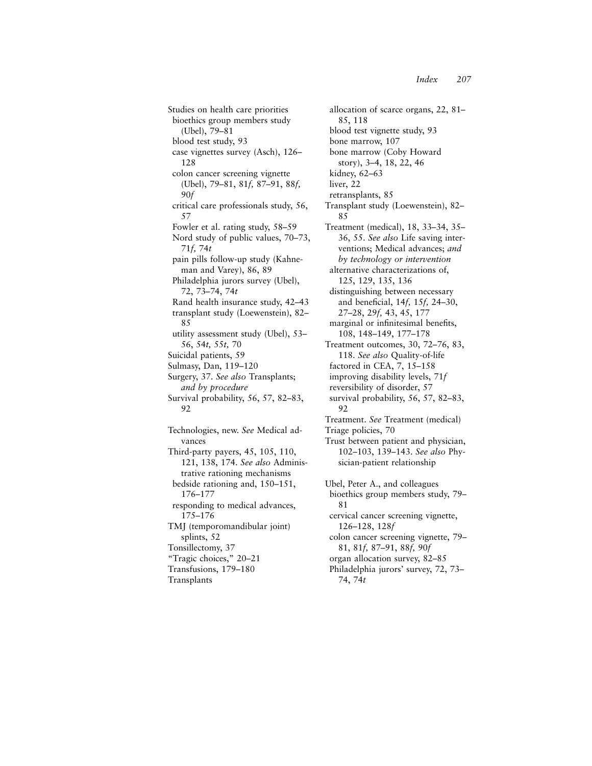allocation of scarce organs, 22, 81–

blood test vignette study, 93

bone marrow (Coby Howard story), 3–4, 18, 22, 46

Transplant study (Loewenstein), 82–

Treatment (medical), 18, 33–34, 35– 36, 55. *See also* Life saving interventions; Medical advances; *and by technology or intervention* alternative characterizations of, 125, 129, 135, 136

85, 118

kidney, 62–63 liver, 22

85

retransplants, 85

bone marrow, 107

Studies on health care priorities bioethics group members study (Ubel), 79–81 blood test study, 93 case vignettes survey (Asch), 126– 128 colon cancer screening vignette (Ubel), 79–81, 81*f,* 87–91, 88*f,* 90*f* critical care professionals study, 56, 57 Fowler et al. rating study, 58–59 Nord study of public values, 70–73, 71*f,* 74*t* pain pills follow-up study (Kahneman and Varey), 86, 89 Philadelphia jurors survey (Ubel), 72, 73–74, 74*t* Rand health insurance study, 42–43 transplant study (Loewenstein), 82– 85 utility assessment study (Ubel), 53– 56, 54*t,* 55*t,* 70 Suicidal patients, 59 Sulmasy, Dan, 119–120 Surgery, 37. *See also* Transplants; *and by procedure* Survival probability, 56, 57, 82–83, 92 Technologies, new. *See* Medical advances Third-party payers, 45, 105, 110, 121, 138, 174. *See also* Administrative rationing mechanisms bedside rationing and, 150–151, 176–177 responding to medical advances, 175–176 TMJ (temporomandibular joint) splints, 52 Tonsillectomy, 37 "Tragic choices," 20–21 Transfusions, 179–180

Transplants

distinguishing between necessary and beneficial, 14*f*, 15*f*, 24-30, 27–28, 29*f,* 43, 45, 177 marginal or infinitesimal benefits, 108, 148–149, 177–178 Treatment outcomes, 30, 72–76, 83, 118. *See also* Quality-of-life factored in CEA, 7, 15–158 improving disability levels, 71*f* reversibility of disorder, 57 survival probability, 56, 57, 82–83, 92 Treatment. *See* Treatment (medical) Triage policies, 70 Trust between patient and physician, 102–103, 139–143. *See also* Physician-patient relationship Ubel, Peter A., and colleagues bioethics group members study, 79– 81 cervical cancer screening vignette, 126–128, 128*f* colon cancer screening vignette, 79– 81, 81*f,* 87–91, 88*f,* 90*f*

- organ allocation survey, 82–85
- Philadelphia jurors' survey, 72, 73– 74, 74*t*